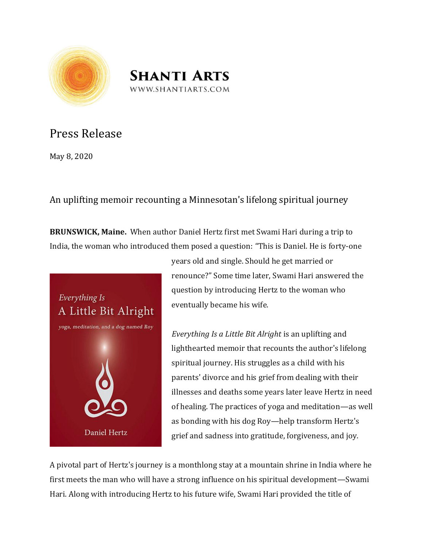



## Press Release

May 8, 2020

## An uplifting memoir recounting a Minnesotan's lifelong spiritual journey

**BRUNSWICK, Maine.** When author Daniel Hertz first met Swami Hari during a trip to India, the woman who introduced them posed a question: "This is Daniel. He is forty-one



years old and single. Should he get married or renounce?" Some time later, Swami Hari answered the question by introducing Hertz to the woman who eventually became his wife.

*Everything Is a Little Bit Alright* is an uplifting and lighthearted memoir that recounts the author's lifelong spiritual journey. His struggles as a child with his parents' divorce and his grief from dealing with their illnesses and deaths some years later leave Hertz in need of healing. The practices of yoga and meditation—as well as bonding with his dog Roy—help transform Hertz's grief and sadness into gratitude, forgiveness, and joy.

A pivotal part of Hertz's journey is a monthlong stay at a mountain shrine in India where he first meets the man who will have a strong influence on his spiritual development—Swami Hari. Along with introducing Hertz to his future wife, Swami Hari provided the title of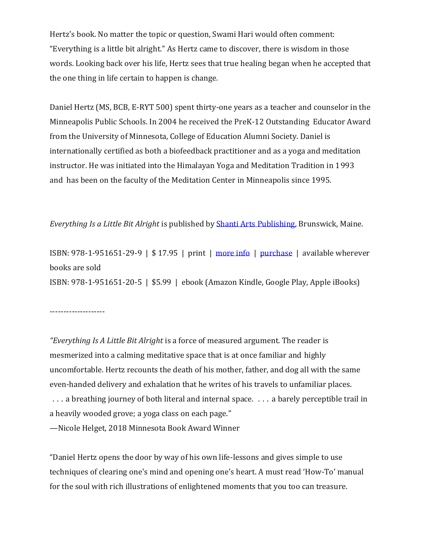Hertz's book. No matter the topic or question, Swami Hari would often comment: "Everything is a little bit alright." As Hertz came to discover, there is wisdom in those words. Looking back over his life, Hertz sees that true healing began when he accepted that the one thing in life certain to happen is change.

Daniel Hertz (MS, BCB, E-RYT 500) spent thirty-one years as a teacher and counselor in the Minneapolis Public Schools. In 2004 he received the PreK-12 Outstanding Educator Award from the University of Minnesota, College of Education Alumni Society. Daniel is internationally certified as both a biofeedback practitioner and as a yoga and meditation instructor. He was initiated into the Himalayan Yoga and Meditation Tradition in 1993 and has been on the faculty of the Meditation Center in Minneapolis since 1995.

*Everything Is a Little Bit Alright* is published by [Shanti Arts Publishing,](http://www.shantiarts.com/) Brunswick, Maine.

ISBN: 978-1-951651-29-9 | \$ 17.95 | print | [more info](http://www.shantiarts.co/uploads/files/ghi/HERTZ_EVERYTHING.html) | [purchase](http://www.shantiarts.co/uploads/files/ghi/HERTZ_EVERYTHING.html) | available wherever books are sold ISBN: 978-1-951651-20-5 | \$5.99 | ebook (Amazon Kindle, Google Play, Apple iBooks)

--------------------

*"Everything Is A Little Bit Alright* is a force of measured argument. The reader is mesmerized into a calming meditative space that is at once familiar and highly uncomfortable. Hertz recounts the death of his mother, father, and dog all with the same even-handed delivery and exhalation that he writes of his travels to unfamiliar places. ∴. a breathing journey of both literal and internal space. ∴. a barely perceptible trail in a heavily wooded grove; a yoga class on each page."

—Nicole Helget, 2018 Minnesota Book Award Winner

"Daniel Hertz opens the door by way of his own life-lessons and gives simple to use techniques of clearing one's mind and opening one's heart. A must read 'How-To' manual for the soul with rich illustrations of enlightened moments that you too can treasure.